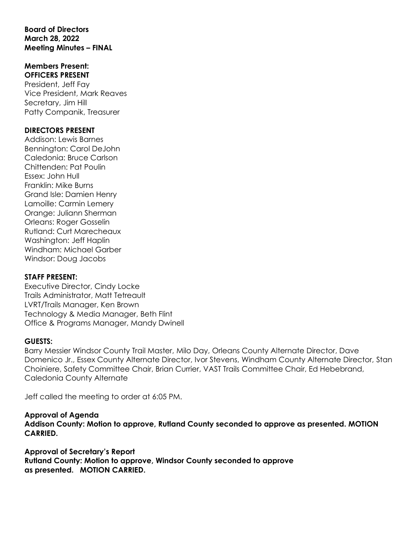#### **Board of Directors March 28, 2022 Meeting Minutes – FINAL**

#### **Members Present: OFFICERS PRESENT**

President, Jeff Fay Vice President, Mark Reaves Secretary, Jim Hill Patty Companik, Treasurer

## **DIRECTORS PRESENT**

Addison: Lewis Barnes Bennington: Carol DeJohn Caledonia: Bruce Carlson Chittenden: Pat Poulin Essex: John Hull Franklin: Mike Burns Grand Isle: Damien Henry Lamoille: Carmin Lemery Orange: Juliann Sherman Orleans: Roger Gosselin Rutland: Curt Marecheaux Washington: Jeff Haplin Windham: Michael Garber Windsor: Doug Jacobs

## **STAFF PRESENT:**

Executive Director, Cindy Locke Trails Administrator, Matt Tetreault LVRT/Trails Manager, Ken Brown Technology & Media Manager, Beth Flint Office & Programs Manager, Mandy Dwinell

## **GUESTS:**

Barry Messier Windsor County Trail Master, Milo Day, Orleans County Alternate Director, Dave Domenico Jr., Essex County Alternate Director, Ivor Stevens, Windham County Alternate Director, Stan Choiniere, Safety Committee Chair, Brian Currier, VAST Trails Committee Chair, Ed Hebebrand, Caledonia County Alternate

Jeff called the meeting to order at 6:05 PM.

# **Approval of Agenda**

**Addison County: Motion to approve, Rutland County seconded to approve as presented. MOTION CARRIED.**

## **Approval of Secretary's Report**

**Rutland County: Motion to approve, Windsor County seconded to approve as presented. MOTION CARRIED.**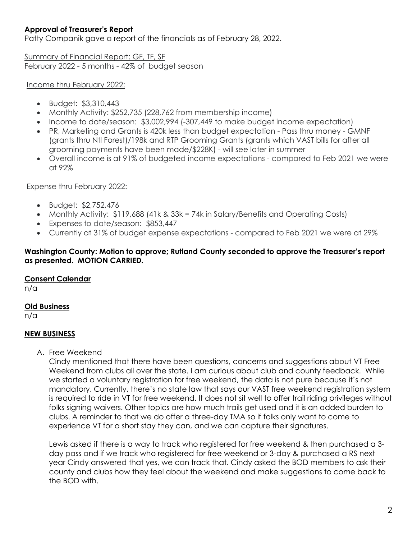# **Approval of Treasurer's Report**

Patty Companik gave a report of the financials as of February 28, 2022.

Summary of Financial Report: GF, TF, SF February 2022 - 5 months - 42% of budget season

#### Income thru February 2022:

- Budget: \$3,310,443
- Monthly Activity: \$252,735 (228,762 from membership income)
- Income to date/season: \$3,002,994 (-307,449 to make budget income expectation)
- PR, Marketing and Grants is 420k less than budget expectation Pass thru money GMNF (grants thru Ntl Forest)/198k and RTP Grooming Grants (grants which VAST bills for after all grooming payments have been made/\$228K) - will see later in summer
- Overall income is at 91% of budgeted income expectations compared to Feb 2021 we were at 92%

#### Expense thru February 2022:

- Budget: \$2,752,476
- Monthly Activity: \$119,688 (41k & 33k = 74k in Salary/Benefits and Operating Costs)
- Expenses to date/season: \$853,447
- Currently at 31% of budget expense expectations compared to Feb 2021 we were at 29%

#### **Washington County: Motion to approve; Rutland County seconded to approve the Treasurer's report as presented. MOTION CARRIED.**

## **Consent Calendar**

n/a

## **Old Business**

n/a

## **NEW BUSINESS**

A. Free Weekend

Cindy mentioned that there have been questions, concerns and suggestions about VT Free Weekend from clubs all over the state. I am curious about club and county feedback. While we started a voluntary registration for free weekend, the data is not pure because it's not mandatory. Currently, there's no state law that says our VAST free weekend registration system is required to ride in VT for free weekend. It does not sit well to offer trail riding privileges without folks signing waivers. Other topics are how much trails get used and it is an added burden to clubs. A reminder to that we do offer a three-day TMA so if folks only want to come to experience VT for a short stay they can, and we can capture their signatures.

Lewis asked if there is a way to track who registered for free weekend & then purchased a 3 day pass and if we track who registered for free weekend or 3-day & purchased a RS next year Cindy answered that yes, we can track that. Cindy asked the BOD members to ask their county and clubs how they feel about the weekend and make suggestions to come back to the BOD with.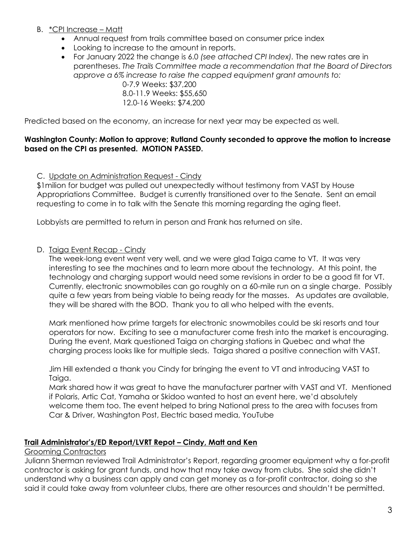- B. \*CPI Increase Matt
	- Annual request from trails committee based on consumer price index
	- Looking to increase to the amount in reports.

• For January 2022 the change is 6.0 *(see attached CPI Index).* The new rates are in parentheses. *The Trails Committee made a recommendation that the Board of Directors approve a 6% increase to raise the capped equipment grant amounts to:* 

0-7.9 Weeks: \$37,200 8.0-11.9 Weeks: \$55,650 12.0-16 Weeks: \$74,200

Predicted based on the economy, an increase for next year may be expected as well.

## **Washington County: Motion to approve; Rutland County seconded to approve the motion to increase based on the CPI as presented. MOTION PASSED.**

C. Update on Administration Request - Cindy

\$1milion for budget was pulled out unexpectedly without testimony from VAST by House Appropriations Committee. Budget is currently transitioned over to the Senate. Sent an email requesting to come in to talk with the Senate this morning regarding the aging fleet.

Lobbyists are permitted to return in person and Frank has returned on site.

## D. Taiga Event Recap - Cindy

The week-long event went very well, and we were glad Taiga came to VT. It was very interesting to see the machines and to learn more about the technology. At this point, the technology and charging support would need some revisions in order to be a good fit for VT. Currently, electronic snowmobiles can go roughly on a 60-mile run on a single charge. Possibly quite a few years from being viable to being ready for the masses. As updates are available, they will be shared with the BOD. Thank you to all who helped with the events.

Mark mentioned how prime targets for electronic snowmobiles could be ski resorts and tour operators for now. Exciting to see a manufacturer come fresh into the market is encouraging. During the event, Mark questioned Taiga on charging stations in Quebec and what the charging process looks like for multiple sleds. Taiga shared a positive connection with VAST.

Jim Hill extended a thank you Cindy for bringing the event to VT and introducing VAST to Taiga.

Mark shared how it was great to have the manufacturer partner with VAST and VT. Mentioned if Polaris, Artic Cat, Yamaha or Skidoo wanted to host an event here, we'd absolutely welcome them too. The event helped to bring National press to the area with focuses from Car & Driver, Washington Post, Electric based media, YouTube

## **Trail Administrator's/ED Report/LVRT Repot – Cindy, Matt and Ken**

Grooming Contractors

Juliann Sherman reviewed Trail Administrator's Report, regarding groomer equipment why a for-profit contractor is asking for grant funds, and how that may take away from clubs. She said she didn't understand why a business can apply and can get money as a for-profit contractor, doing so she said it could take away from volunteer clubs, there are other resources and shouldn't be permitted.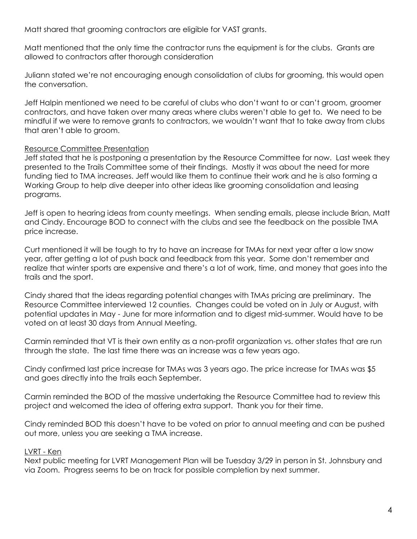Matt shared that grooming contractors are eligible for VAST grants.

Matt mentioned that the only time the contractor runs the equipment is for the clubs. Grants are allowed to contractors after thorough consideration

Juliann stated we're not encouraging enough consolidation of clubs for grooming, this would open the conversation.

Jeff Halpin mentioned we need to be careful of clubs who don't want to or can't groom, groomer contractors, and have taken over many areas where clubs weren't able to get to. We need to be mindful if we were to remove grants to contractors, we wouldn't want that to take away from clubs that aren't able to groom.

#### Resource Committee Presentation

Jeff stated that he is postponing a presentation by the Resource Committee for now. Last week they presented to the Trails Committee some of their findings. Mostly it was about the need for more funding tied to TMA increases. Jeff would like them to continue their work and he is also forming a Working Group to help dive deeper into other ideas like grooming consolidation and leasing programs.

Jeff is open to hearing ideas from county meetings. When sending emails, please include Brian, Matt and Cindy. Encourage BOD to connect with the clubs and see the feedback on the possible TMA price increase.

Curt mentioned it will be tough to try to have an increase for TMAs for next year after a low snow year, after getting a lot of push back and feedback from this year. Some don't remember and realize that winter sports are expensive and there's a lot of work, time, and money that goes into the trails and the sport.

Cindy shared that the ideas regarding potential changes with TMAs pricing are preliminary. The Resource Committee interviewed 12 counties. Changes could be voted on in July or August, with potential updates in May - June for more information and to digest mid-summer. Would have to be voted on at least 30 days from Annual Meeting.

Carmin reminded that VT is their own entity as a non-profit organization vs. other states that are run through the state. The last time there was an increase was a few years ago.

Cindy confirmed last price increase for TMAs was 3 years ago. The price increase for TMAs was \$5 and goes directly into the trails each September.

Carmin reminded the BOD of the massive undertaking the Resource Committee had to review this project and welcomed the idea of offering extra support. Thank you for their time.

Cindy reminded BOD this doesn't have to be voted on prior to annual meeting and can be pushed out more, unless you are seeking a TMA increase.

#### LVRT - Ken

Next public meeting for LVRT Management Plan will be Tuesday 3/29 in person in St. Johnsbury and via Zoom. Progress seems to be on track for possible completion by next summer.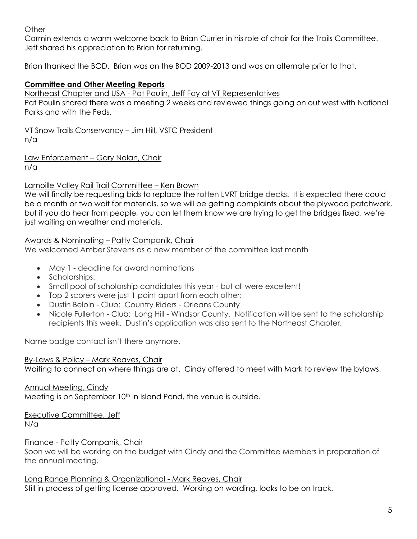# **Other**

Carmin extends a warm welcome back to Brian Currier in his role of chair for the Trails Committee. Jeff shared his appreciation to Brian for returning.

Brian thanked the BOD. Brian was on the BOD 2009-2013 and was an alternate prior to that.

## **Committee and Other Meeting Reports**

Northeast Chapter and USA - Pat Poulin, Jeff Fay at VT Representatives

Pat Poulin shared there was a meeting 2 weeks and reviewed things going on out west with National Parks and with the Feds.

VT Snow Trails Conservancy – Jim Hill, VSTC President n/a

Law Enforcement – Gary Nolan, Chair n/a

## Lamoille Valley Rail Trail Committee – Ken Brown

We will finally be requesting bids to replace the rotten LVRT bridge decks. It is expected there could be a month or two wait for materials, so we will be getting complaints about the plywood patchwork, but if you do hear from people, you can let them know we are trying to get the bridges fixed, we're just waiting on weather and materials.

## Awards & Nominating – Patty Companik, Chair

We welcomed Amber Stevens as a new member of the committee last month

- May 1 deadline for award nominations
- Scholarships:
- Small pool of scholarship candidates this year but all were excellent!
- Top 2 scorers were just 1 point apart from each other:
- Dustin Beloin Club: Country Riders Orleans County
- Nicole Fullerton Club: Long Hill Windsor County. Notification will be sent to the scholarship recipients this week. Dustin's application was also sent to the Northeast Chapter.

Name badge contact isn't there anymore.

## By-Laws & Policy – Mark Reaves, Chair

Waiting to connect on where things are at. Cindy offered to meet with Mark to review the bylaws.

## Annual Meeting, Cindy

Meeting is on September 10<sup>th</sup> in Island Pond, the venue is outside.

# Executive Committee, Jeff

N/a

# Finance - Patty Companik, Chair

Soon we will be working on the budget with Cindy and the Committee Members in preparation of the annual meeting.

## Long Range Planning & Organizational - Mark Reaves, Chair

Still in process of getting license approved. Working on wording, looks to be on track.